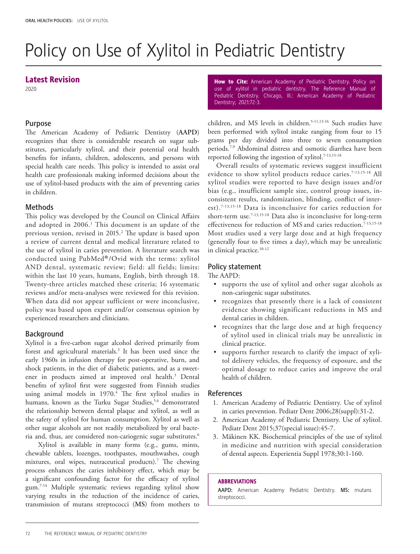# Policy on Use of Xylitol in Pediatric Dentistry

### Latest Revision

2020

### Purpose

The American Academy of Pediatric Dentistry (**AAPD**) recognizes that there is considerable research on sugar substitutes, particularly xylitol, and their potential oral health benefits for infants, children, adolescents, and persons with special health care needs. This policy is intended to assist oral health care professionals making informed decisions about the use of xylitol-based products with the aim of preventing caries in children.

#### Methods

This policy was developed by the Council on Clinical Affairs and adopted in 2006.<sup>1</sup> This document is an update of the previous version, revised in 2015.<sup>2</sup> The update is based upon a review of current dental and medical literature related to the use of xylitol in caries prevention. A literature search was conducted using PubMed®/Ovid with the terms: xylitol AND dental, systematic review; field: all fields; limits: within the last 10 years, humans, English, birth through 18. Twenty-three articles matched these criteria; 16 systematic reviews and/or meta-analyses were reviewed for this revision. When data did not appear sufficient or were inconclusive, policy was based upon expert and/or consensus opinion by experienced researchers and clinicians.

# **Background**

Xylitol is a five-carbon sugar alcohol derived primarily from forest and agricultural materials.<sup>3</sup> It has been used since the early 1960s in infusion therapy for post-operative, burn, and shock patients, in the diet of diabetic patients, and as a sweetener in products aimed at improved oral health.3 Dental benefits of xylitol first were suggested from Finnish studies using animal models in 1970.4 The first xylitol studies in humans, known as the Turku Sugar Studies,<sup>5,6</sup> demonstrated the relationship between dental plaque and xylitol, as well as the safety of xylitol for human consumption. Xylitol as well as other sugar alcohols are not readily metabolized by oral bacteria and, thus, are considered non-cariogenic sugar substitutes.<sup>6</sup>

 Xylitol is available in many forms (e.g., gums, mints, chewable tablets, lozenges, toothpastes, mouthwashes, cough mixtures, oral wipes, nutraceutical products).7 The chewing process enhances the caries inhibitory effect, which may be a significant confounding factor for the efficacy of xylitol gum.7-14 Multiple systematic reviews regarding xylitol show varying results in the reduction of the incidence of caries, transmission of mutans streptococci (**MS**) from mothers to

How to Cite: American Academy of Pediatric Dentistry. Policy on use of xylitol in pediatric dentistry. The Reference Manual of Pediatric Dentistry. Chicago, Ill.: American Academy of Pediatric Dentistry; 2021:72-3.

children, and MS levels in children.5-11,13-16 Such studies have been performed with xylitol intake ranging from four to 15 grams per day divided into three to seven consumption periods.7-9 Abdominal distress and osmotic diarrhea have been reported following the ingestion of xylitol.7-13,15-18

Overall results of systematic reviews suggest insufficient evidence to show xylitol products reduce caries.<sup>7-13,15-18</sup> All xylitol studies were reported to have design issues and/or bias (e.g., insufficient sample size, control group issues, inconsistent results, randomization, blinding, conflict of interest).7-13,15-18 Data is inconclusive for caries reduction for short-term use.<sup>7-13,15-18</sup> Data also is inconclusive for long-term effectiveness for reduction of MS and caries reduction.<sup>7-13,15-18</sup> Most studies used a very large dose and at high frequency (generally four to five times a day), which may be unrealistic in clinical practice.<sup>10-12</sup>

# Policy statement

The AAPD:

- supports the use of xylitol and other sugar alcohols as non-cariogenic sugar substitutes.
- recognizes that presently there is a lack of consistent evidence showing significant reductions in MS and dental caries in children.
- recognizes that the large dose and at high frequency of xylitol used in clinical trials may be unrealistic in clinical practice.
- supports further research to clarify the impact of xylitol delivery vehicles, the frequency of exposure, and the optimal dosage to reduce caries and improve the oral health of children.

#### References

- 1. American Academy of Pediatric Dentistry. Use of xylitol in caries prevention. Pediatr Dent 2006;28(suppl):31-2.
- 2. American Academy of Pediatric Dentistry. Use of xylitol. Pediatr Dent 2015;37(special issue):45-7.
- 3. Mäkinen KK. Biochemical principles of the use of xylitol in medicine and nutrition with special consideration of dental aspects. Experientia Suppl 1978;30:1-160.

#### ABBREVIATIONS

AAPD: American Academy Pediatric Dentistry. MS: mutans streptococci.